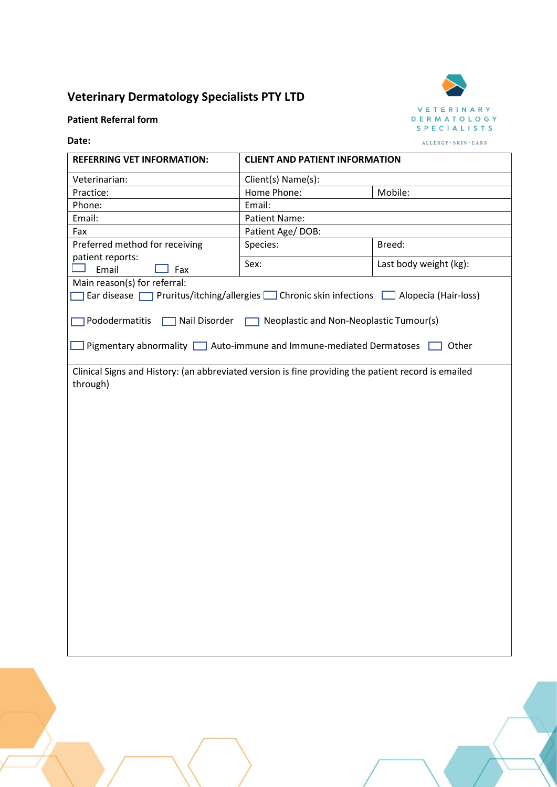## **Veterinary Dermatology Specialists PTY LTD**



## **Patient Referral form**

## **Date:**

| <b>REFERRING VET INFORMATION:</b>                                                                                                                          | <b>CLIENT AND PATIENT INFORMATION</b>                     |                        |
|------------------------------------------------------------------------------------------------------------------------------------------------------------|-----------------------------------------------------------|------------------------|
| Veterinarian:                                                                                                                                              | Client(s) Name(s):                                        |                        |
| Practice:                                                                                                                                                  | Home Phone:                                               | Mobile:                |
| Phone:                                                                                                                                                     | Email:                                                    |                        |
| Email:                                                                                                                                                     | Patient Name:                                             |                        |
| Fax                                                                                                                                                        | Patient Age/DOB:                                          |                        |
| Preferred method for receiving                                                                                                                             | Species:                                                  | Breed:                 |
| patient reports:<br>Fax<br>Email                                                                                                                           | Sex:                                                      | Last body weight (kg): |
| Main reason(s) for referral:<br>Ear disease $\Box$ Pruritus/itching/allergies $\Box$ Chronic skin infections $\Box$ Alopecia (Hair-loss)<br>Pododermatitis | ■ Nail Disorder ■ Neoplastic and Non-Neoplastic Tumour(s) |                        |
| Pigmentary abnormality   Auto-immune and Immune-mediated Dermatoses                                                                                        |                                                           | Other                  |
| Clinical Signs and History: (an abbreviated version is fine providing the patient record is emailed<br>through)                                            |                                                           |                        |
|                                                                                                                                                            |                                                           |                        |
|                                                                                                                                                            |                                                           |                        |
|                                                                                                                                                            |                                                           |                        |
|                                                                                                                                                            |                                                           |                        |
|                                                                                                                                                            |                                                           |                        |
|                                                                                                                                                            |                                                           |                        |
|                                                                                                                                                            |                                                           |                        |
|                                                                                                                                                            |                                                           |                        |
|                                                                                                                                                            |                                                           |                        |
|                                                                                                                                                            |                                                           |                        |
|                                                                                                                                                            |                                                           |                        |
|                                                                                                                                                            |                                                           |                        |
|                                                                                                                                                            |                                                           |                        |
|                                                                                                                                                            |                                                           |                        |
|                                                                                                                                                            |                                                           |                        |
|                                                                                                                                                            |                                                           |                        |
|                                                                                                                                                            |                                                           |                        |
|                                                                                                                                                            |                                                           |                        |
|                                                                                                                                                            |                                                           |                        |
|                                                                                                                                                            |                                                           |                        |
|                                                                                                                                                            |                                                           |                        |
|                                                                                                                                                            |                                                           |                        |
|                                                                                                                                                            |                                                           |                        |
|                                                                                                                                                            |                                                           |                        |
|                                                                                                                                                            |                                                           |                        |
|                                                                                                                                                            |                                                           |                        |